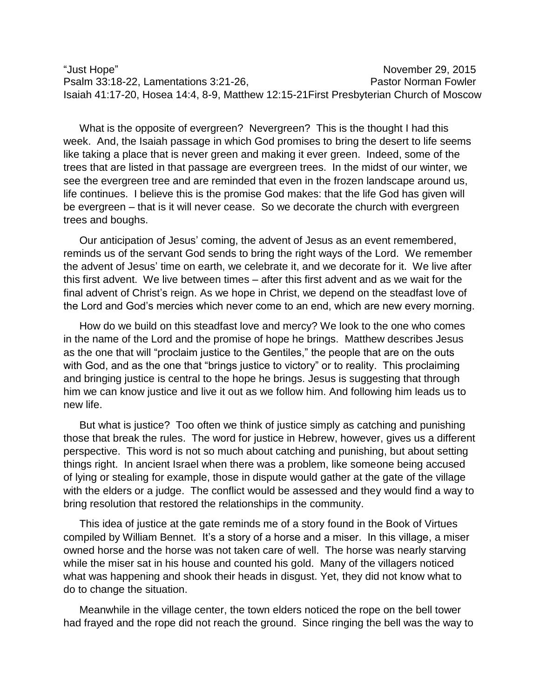"Just Hope" November 29, 2015 Psalm 33:18-22, Lamentations 3:21-26, Pastor Norman Fowler Isaiah 41:17-20, Hosea 14:4, 8-9, Matthew 12:15-21First Presbyterian Church of Moscow

What is the opposite of evergreen? Nevergreen? This is the thought I had this week. And, the Isaiah passage in which God promises to bring the desert to life seems like taking a place that is never green and making it ever green. Indeed, some of the trees that are listed in that passage are evergreen trees. In the midst of our winter, we see the evergreen tree and are reminded that even in the frozen landscape around us, life continues. I believe this is the promise God makes: that the life God has given will be evergreen – that is it will never cease. So we decorate the church with evergreen trees and boughs.

Our anticipation of Jesus' coming, the advent of Jesus as an event remembered, reminds us of the servant God sends to bring the right ways of the Lord. We remember the advent of Jesus' time on earth, we celebrate it, and we decorate for it. We live after this first advent. We live between times – after this first advent and as we wait for the final advent of Christ's reign. As we hope in Christ, we depend on the steadfast love of the Lord and God's mercies which never come to an end, which are new every morning.

How do we build on this steadfast love and mercy? We look to the one who comes in the name of the Lord and the promise of hope he brings. Matthew describes Jesus as the one that will "proclaim justice to the Gentiles," the people that are on the outs with God, and as the one that "brings justice to victory" or to reality. This proclaiming and bringing justice is central to the hope he brings. Jesus is suggesting that through him we can know justice and live it out as we follow him. And following him leads us to new life.

But what is justice? Too often we think of justice simply as catching and punishing those that break the rules. The word for justice in Hebrew, however, gives us a different perspective. This word is not so much about catching and punishing, but about setting things right. In ancient Israel when there was a problem, like someone being accused of lying or stealing for example, those in dispute would gather at the gate of the village with the elders or a judge. The conflict would be assessed and they would find a way to bring resolution that restored the relationships in the community.

This idea of justice at the gate reminds me of a story found in the Book of Virtues compiled by William Bennet. It's a story of a horse and a miser. In this village, a miser owned horse and the horse was not taken care of well. The horse was nearly starving while the miser sat in his house and counted his gold. Many of the villagers noticed what was happening and shook their heads in disgust. Yet, they did not know what to do to change the situation.

Meanwhile in the village center, the town elders noticed the rope on the bell tower had frayed and the rope did not reach the ground. Since ringing the bell was the way to